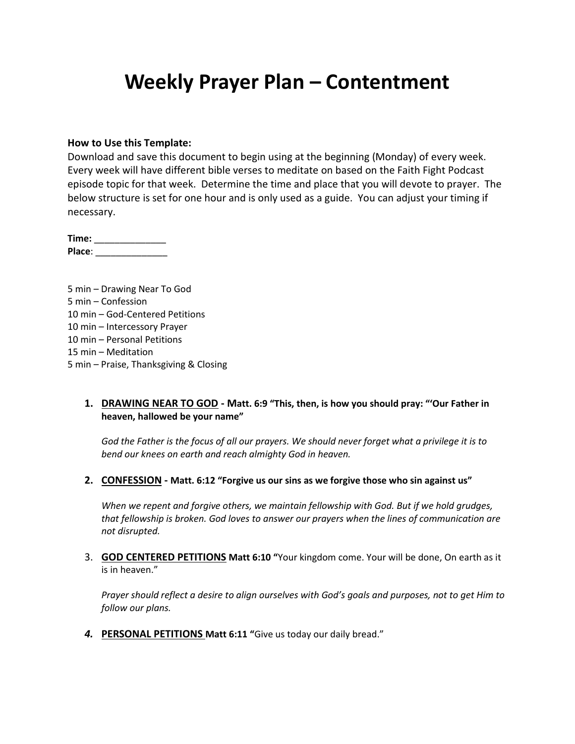## **Weekly Prayer Plan – Contentment**

#### **How to Use this Template:**

Download and save this document to begin using at the beginning (Monday) of every week. Every week will have different bible verses to meditate on based on the Faith Fight Podcast episode topic for that week. Determine the time and place that you will devote to prayer. The below structure is set for one hour and is only used as a guide. You can adjust your timing if necessary.

**Time:** \_\_\_\_\_\_\_\_\_\_\_\_\_\_ **Place**: \_\_\_\_\_\_\_\_\_\_\_\_\_\_

5 min – Drawing Near To God 5 min – Confession 10 min – God-Centered Petitions 10 min – Intercessory Prayer 10 min – Personal Petitions 15 min – Meditation 5 min – Praise, Thanksgiving & Closing

### **1. DRAWING NEAR TO GOD - Matt. 6:9 "This, then, is how you should pray: "'Our Father in heaven, hallowed be your name"**

*God the Father is the focus of all our prayers. We should never forget what a privilege it is to bend our knees on earth and reach almighty God in heaven.*

**2. CONFESSION - Matt. 6:12 "Forgive us our sins as we forgive those who sin against us"**

*When we repent and forgive others, we maintain fellowship with God. But if we hold grudges, that fellowship is broken. God loves to answer our prayers when the lines of communication are not disrupted.*

3. **GOD CENTERED PETITIONS Matt 6:10 "**Your kingdom come. Your will be done, On earth as it is in heaven."

*Prayer should reflect a desire to align ourselves with God's goals and purposes, not to get Him to follow our plans.*

*4.* **PERSONAL PETITIONS Matt 6:11 "**Give us today our daily bread."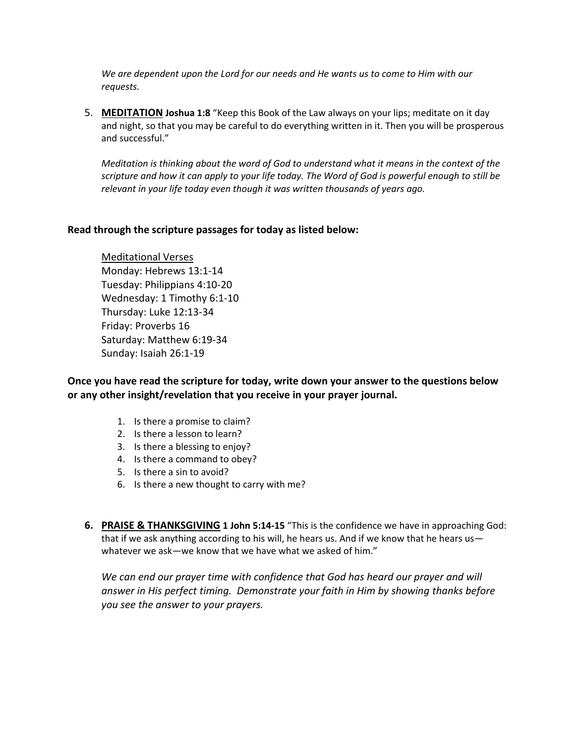*We are dependent upon the Lord for our needs and He wants us to come to Him with our requests.*

5. **MEDITATION Joshua 1:8** "Keep this Book of the Law always on your lips; meditate on it day and night, so that you may be careful to do everything written in it. Then you will be prosperous and successful."

*Meditation is thinking about the word of God to understand what it means in the context of the scripture and how it can apply to your life today. The Word of God is powerful enough to still be relevant in your life today even though it was written thousands of years ago.*

### **Read through the scripture passages for today as listed below:**

Meditational Verses Monday: Hebrews 13:1-14 Tuesday: Philippians 4:10-20 Wednesday: 1 Timothy 6:1-10 Thursday: Luke 12:13-34 Friday: Proverbs 16 Saturday: Matthew 6:19-34 Sunday: Isaiah 26:1-19

**Once you have read the scripture for today, write down your answer to the questions below or any other insight/revelation that you receive in your prayer journal.** 

- 1. Is there a promise to claim?
- 2. Is there a lesson to learn?
- 3. Is there a blessing to enjoy?
- 4. Is there a command to obey?
- 5. Is there a sin to avoid?
- 6. Is there a new thought to carry with me?
- **6. PRAISE & THANKSGIVING 1 John 5:14-15** "This is the confidence we have in approaching God: that if we ask anything according to his will, he hears us. And if we know that he hears us whatever we ask—we know that we have what we asked of him."

*We can end our prayer time with confidence that God has heard our prayer and will answer in His perfect timing. Demonstrate your faith in Him by showing thanks before you see the answer to your prayers.*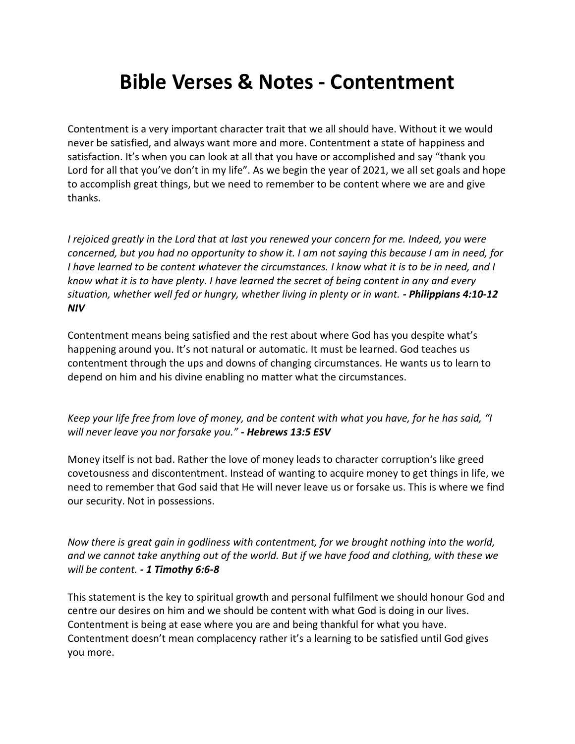# **Bible Verses & Notes - Contentment**

Contentment is a very important character trait that we all should have. Without it we would never be satisfied, and always want more and more. Contentment a state of happiness and satisfaction. It's when you can look at all that you have or accomplished and say "thank you Lord for all that you've don't in my life". As we begin the year of 2021, we all set goals and hope to accomplish great things, but we need to remember to be content where we are and give thanks.

*I rejoiced greatly in the Lord that at last you renewed your concern for me. Indeed, you were concerned, but you had no opportunity to show it. I am not saying this because I am in need, for I have learned to be content whatever the circumstances. I know what it is to be in need, and I know what it is to have plenty. I have learned the secret of being content in any and every situation, whether well fed or hungry, whether living in plenty or in want. - Philippians 4:10-12 NIV*

Contentment means being satisfied and the rest about where God has you despite what's happening around you. It's not natural or automatic. It must be learned. God teaches us contentment through the ups and downs of changing circumstances. He wants us to learn to depend on him and his divine enabling no matter what the circumstances.

*Keep your life free from love of money, and be content with what you have, for he has said, "I will never leave you nor forsake you." - Hebrews 13:5 ESV*

Money itself is not bad. Rather the love of money leads to character corruption's like greed covetousness and discontentment. Instead of wanting to acquire money to get things in life, we need to remember that God said that He will never leave us or forsake us. This is where we find our security. Not in possessions.

*Now there is great gain in godliness with contentment, for we brought nothing into the world, and we cannot take anything out of the world. But if we have food and clothing, with these we will be content. - 1 Timothy 6:6-8*

This statement is the key to spiritual growth and personal fulfilment we should honour God and centre our desires on him and we should be content with what God is doing in our lives. Contentment is being at ease where you are and being thankful for what you have. Contentment doesn't mean complacency rather it's a learning to be satisfied until God gives you more.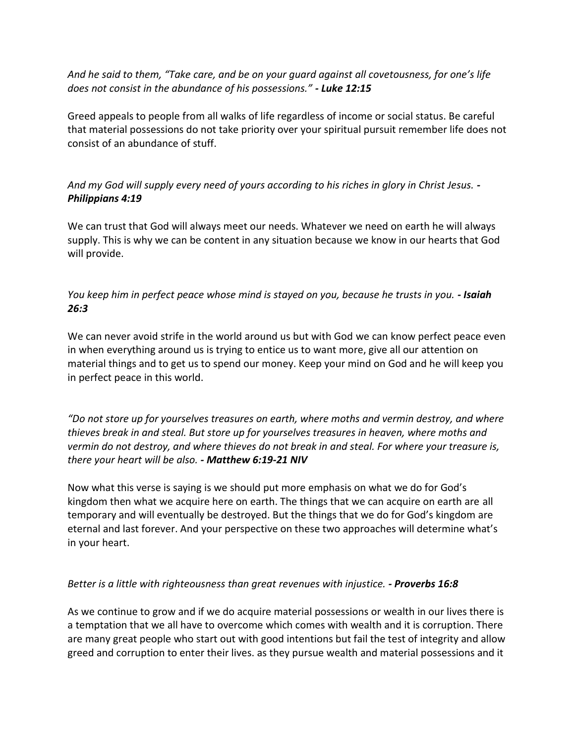*And he said to them, "Take care, and be on your guard against all covetousness, for one's life does not consist in the abundance of his possessions." - Luke 12:15*

Greed appeals to people from all walks of life regardless of income or social status. Be careful that material possessions do not take priority over your spiritual pursuit remember life does not consist of an abundance of stuff.

## *And my God will supply every need of yours according to his riches in glory in Christ Jesus. - Philippians 4:19*

We can trust that God will always meet our needs. Whatever we need on earth he will always supply. This is why we can be content in any situation because we know in our hearts that God will provide.

## *You keep him in perfect peace whose mind is stayed on you, because he trusts in you. - Isaiah 26:3*

We can never avoid strife in the world around us but with God we can know perfect peace even in when everything around us is trying to entice us to want more, give all our attention on material things and to get us to spend our money. Keep your mind on God and he will keep you in perfect peace in this world.

*"Do not store up for yourselves treasures on earth, where moths and vermin destroy, and where thieves break in and steal. But store up for yourselves treasures in heaven, where moths and vermin do not destroy, and where thieves do not break in and steal. For where your treasure is, there your heart will be also. - Matthew 6:19-21 NIV*

Now what this verse is saying is we should put more emphasis on what we do for God's kingdom then what we acquire here on earth. The things that we can acquire on earth are all temporary and will eventually be destroyed. But the things that we do for God's kingdom are eternal and last forever. And your perspective on these two approaches will determine what's in your heart.

## *Better is a little with righteousness than great revenues with injustice. - Proverbs 16:8*

As we continue to grow and if we do acquire material possessions or wealth in our lives there is a temptation that we all have to overcome which comes with wealth and it is corruption. There are many great people who start out with good intentions but fail the test of integrity and allow greed and corruption to enter their lives. as they pursue wealth and material possessions and it